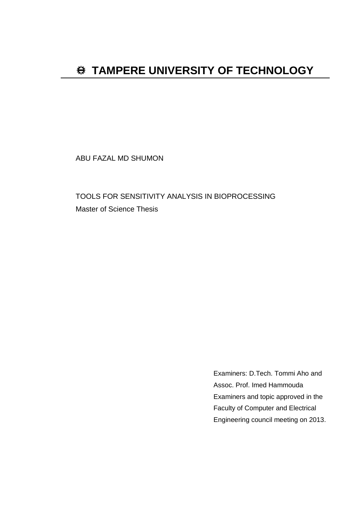# $\bigoplus$  **TAMPERE UNIVERSITY OF TECHNOLOGY**

ABU FAZAL MD SHUMON

TOOLS FOR SENSITIVITY ANALYSIS IN BIOPROCESSING Master of Science Thesis

> Examiners: D.Tech. Tommi Aho and Assoc. Prof. Imed Hammouda Examiners and topic approved in the Faculty of Computer and Electrical Engineering council meeting on 2013.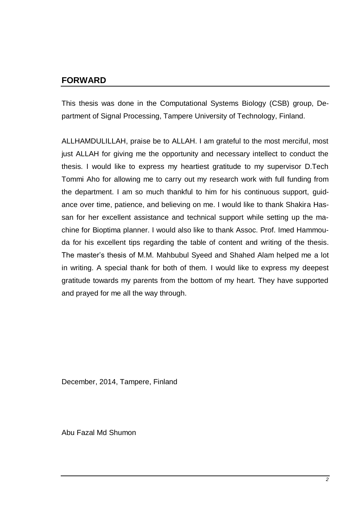## **FORWARD**

This thesis was done in the Computational Systems Biology (CSB) group, Department of Signal Processing, Tampere University of Technology, Finland.

ALLHAMDULILLAH, praise be to ALLAH. I am grateful to the most merciful, most just ALLAH for giving me the opportunity and necessary intellect to conduct the thesis. I would like to express my heartiest gratitude to my supervisor D.Tech Tommi Aho for allowing me to carry out my research work with full funding from the department. I am so much thankful to him for his continuous support, guidance over time, patience, and believing on me. I would like to thank Shakira Hassan for her excellent assistance and technical support while setting up the machine for Bioptima planner. I would also like to thank Assoc. Prof. Imed Hammouda for his excellent tips regarding the table of content and writing of the thesis. The master's thesis of M.M. Mahbubul Syeed and Shahed Alam helped me a lot in writing. A special thank for both of them. I would like to express my deepest gratitude towards my parents from the bottom of my heart. They have supported and prayed for me all the way through.

December, 2014, Tampere, Finland

Abu Fazal Md Shumon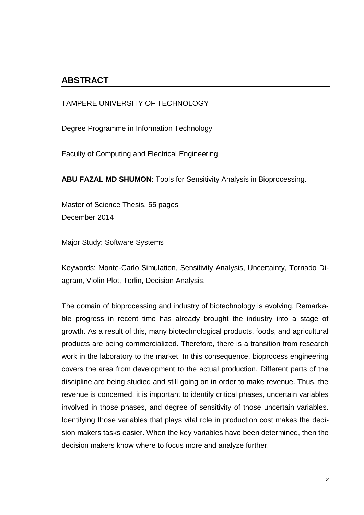## **ABSTRACT**

TAMPERE UNIVERSITY OF TECHNOLOGY

Degree Programme in Information Technology

Faculty of Computing and Electrical Engineering

**ABU FAZAL MD SHUMON**: Tools for Sensitivity Analysis in Bioprocessing.

Master of Science Thesis, 55 pages December 2014

Major Study: Software Systems

Keywords: Monte-Carlo Simulation, Sensitivity Analysis, Uncertainty, Tornado Diagram, Violin Plot, Torlin, Decision Analysis.

The domain of bioprocessing and industry of biotechnology is evolving. Remarkable progress in recent time has already brought the industry into a stage of growth. As a result of this, many biotechnological products, foods, and agricultural products are being commercialized. Therefore, there is a transition from research work in the laboratory to the market. In this consequence, bioprocess engineering covers the area from development to the actual production. Different parts of the discipline are being studied and still going on in order to make revenue. Thus, the revenue is concerned, it is important to identify critical phases, uncertain variables involved in those phases, and degree of sensitivity of those uncertain variables. Identifying those variables that plays vital role in production cost makes the decision makers tasks easier. When the key variables have been determined, then the decision makers know where to focus more and analyze further.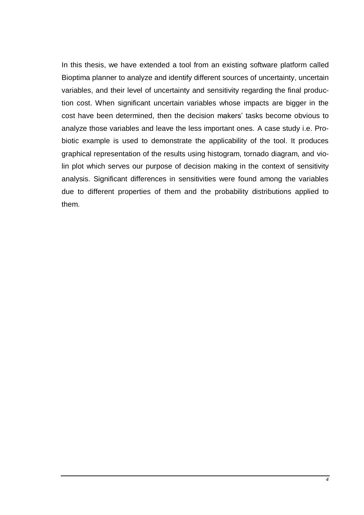In this thesis, we have extended a tool from an existing software platform called Bioptima planner to analyze and identify different sources of uncertainty, uncertain variables, and their level of uncertainty and sensitivity regarding the final production cost. When significant uncertain variables whose impacts are bigger in the cost have been determined, then the decision makers' tasks become obvious to analyze those variables and leave the less important ones. A case study i.e. Probiotic example is used to demonstrate the applicability of the tool. It produces graphical representation of the results using histogram, tornado diagram, and violin plot which serves our purpose of decision making in the context of sensitivity analysis. Significant differences in sensitivities were found among the variables due to different properties of them and the probability distributions applied to them.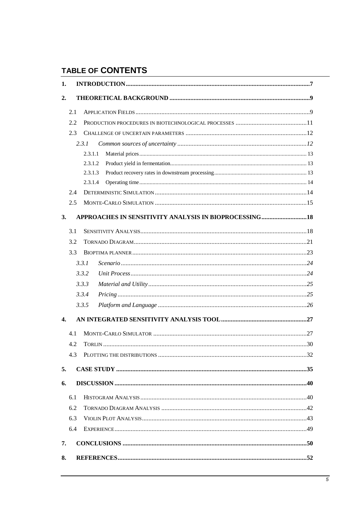## **TABLE OF CONTENTS**

| 1.           |     |         |                                                         |
|--------------|-----|---------|---------------------------------------------------------|
| 2.           |     |         |                                                         |
|              | 2.1 |         |                                                         |
|              | 2.2 |         |                                                         |
|              | 2.3 |         |                                                         |
|              |     | 2.3.1   |                                                         |
|              |     | 2.3.1.1 |                                                         |
|              |     | 2.3.1.2 |                                                         |
|              |     | 2.3.1.3 |                                                         |
|              |     | 2.3.1.4 |                                                         |
|              | 2.4 |         |                                                         |
|              | 2.5 |         |                                                         |
| 3.           |     |         | APPROACHES IN SENSITIVITY ANALYSIS IN BIOPROCESSING  18 |
|              | 3.1 |         |                                                         |
|              | 3.2 |         |                                                         |
|              | 3.3 |         |                                                         |
|              |     | 3.3.1   |                                                         |
|              |     | 3.3.2   |                                                         |
|              |     | 3.3.3   |                                                         |
|              |     | 3.3.4   |                                                         |
|              |     | 3.3.5   |                                                         |
| $\mathbf{4}$ |     |         |                                                         |
|              | 4.1 |         |                                                         |
|              | 4.2 |         |                                                         |
|              | 4.3 |         |                                                         |
| 5.           |     |         |                                                         |
| 6.           |     |         |                                                         |
|              | 6.1 |         |                                                         |
|              | 6.2 |         |                                                         |
|              | 6.3 |         |                                                         |
|              | 6.4 |         |                                                         |
| 7.           |     |         |                                                         |
| 8.           |     |         |                                                         |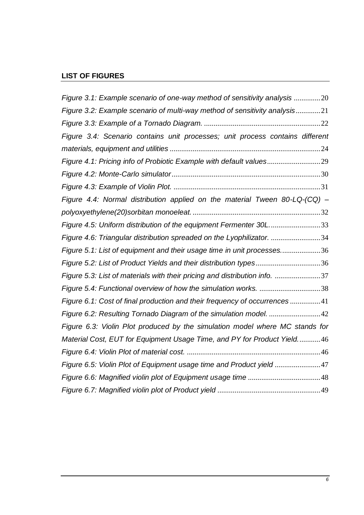## **LIST OF FIGURES**

| Figure 3.1: Example scenario of one-way method of sensitivity analysis 20     |  |
|-------------------------------------------------------------------------------|--|
| Figure 3.2: Example scenario of multi-way method of sensitivity analysis21    |  |
|                                                                               |  |
| Figure 3.4: Scenario contains unit processes; unit process contains different |  |
|                                                                               |  |
| Figure 4.1: Pricing info of Probiotic Example with default values29           |  |
|                                                                               |  |
|                                                                               |  |
| Figure 4.4: Normal distribution applied on the material Tween 80-LQ-(CQ) -    |  |
|                                                                               |  |
| Figure 4.5: Uniform distribution of the equipment Fermenter 30L33             |  |
| Figure 4.6: Triangular distribution spreaded on the Lyophilizator. 34         |  |
| Figure 5.1: List of equipment and their usage time in unit processes36        |  |
| Figure 5.2: List of Product Yields and their distribution types36             |  |
| Figure 5.3: List of materials with their pricing and distribution info. 37    |  |
| Figure 5.4: Functional overview of how the simulation works. 38               |  |
| Figure 6.1: Cost of final production and their frequency of occurrences41     |  |
| Figure 6.2: Resulting Tornado Diagram of the simulation model. 42             |  |
| Figure 6.3: Violin Plot produced by the simulation model where MC stands for  |  |
| Material Cost, EUT for Equipment Usage Time, and PY for Product Yield46       |  |
|                                                                               |  |
| Figure 6.5: Violin Plot of Equipment usage time and Product yield47           |  |
|                                                                               |  |
|                                                                               |  |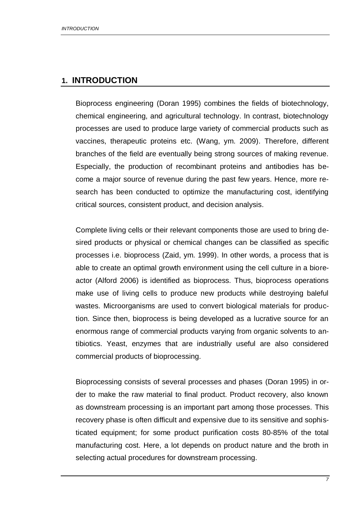## **1. INTRODUCTION**

Bioprocess engineering (Doran 1995) combines the fields of biotechnology, chemical engineering, and agricultural technology. In contrast, biotechnology processes are used to produce large variety of commercial products such as vaccines, therapeutic proteins etc. (Wang, ym. 2009). Therefore, different branches of the field are eventually being strong sources of making revenue. Especially, the production of recombinant proteins and antibodies has become a major source of revenue during the past few years. Hence, more research has been conducted to optimize the manufacturing cost, identifying critical sources, consistent product, and decision analysis.

Complete living cells or their relevant components those are used to bring desired products or physical or chemical changes can be classified as specific processes i.e. bioprocess (Zaid, ym. 1999). In other words, a process that is able to create an optimal growth environment using the cell culture in a bioreactor (Alford 2006) is identified as bioprocess. Thus, bioprocess operations make use of living cells to produce new products while destroying baleful wastes. Microorganisms are used to convert biological materials for production. Since then, bioprocess is being developed as a lucrative source for an enormous range of commercial products varying from organic solvents to antibiotics. Yeast, enzymes that are industrially useful are also considered commercial products of bioprocessing.

Bioprocessing consists of several processes and phases (Doran 1995) in order to make the raw material to final product. Product recovery, also known as downstream processing is an important part among those processes. This recovery phase is often difficult and expensive due to its sensitive and sophisticated equipment; for some product purification costs 80-85% of the total manufacturing cost. Here, a lot depends on product nature and the broth in selecting actual procedures for downstream processing.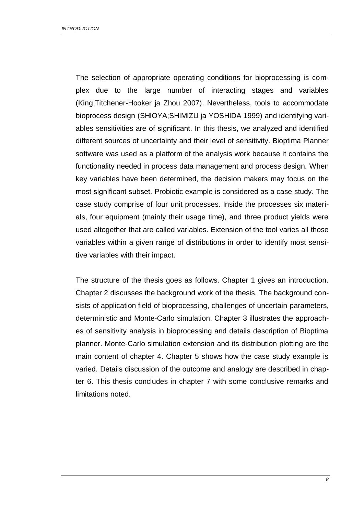The selection of appropriate operating conditions for bioprocessing is complex due to the large number of interacting stages and variables (King;Titchener-Hooker ja Zhou 2007). Nevertheless, tools to accommodate bioprocess design (SHlOYA;SHlMlZU ja YOSHlDA 1999) and identifying variables sensitivities are of significant. In this thesis, we analyzed and identified different sources of uncertainty and their level of sensitivity. Bioptima Planner software was used as a platform of the analysis work because it contains the functionality needed in process data management and process design. When key variables have been determined, the decision makers may focus on the most significant subset. Probiotic example is considered as a case study. The case study comprise of four unit processes. Inside the processes six materials, four equipment (mainly their usage time), and three product yields were used altogether that are called variables. Extension of the tool varies all those variables within a given range of distributions in order to identify most sensitive variables with their impact.

The structure of the thesis goes as follows. Chapter 1 gives an introduction. Chapter 2 discusses the background work of the thesis. The background consists of application field of bioprocessing, challenges of uncertain parameters, deterministic and Monte-Carlo simulation. Chapter 3 illustrates the approaches of sensitivity analysis in bioprocessing and details description of Bioptima planner. Monte-Carlo simulation extension and its distribution plotting are the main content of chapter 4. Chapter 5 shows how the case study example is varied. Details discussion of the outcome and analogy are described in chapter 6. This thesis concludes in chapter 7 with some conclusive remarks and limitations noted.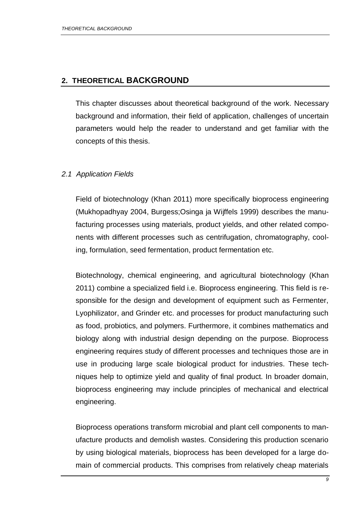## **2. THEORETICAL BACKGROUND**

This chapter discusses about theoretical background of the work. Necessary background and information, their field of application, challenges of uncertain parameters would help the reader to understand and get familiar with the concepts of this thesis.

## *2.1 Application Fields*

Field of biotechnology (Khan 2011) more specifically bioprocess engineering (Mukhopadhyay 2004, Burgess;Osinga ja Wijffels 1999) describes the manufacturing processes using materials, product yields, and other related components with different processes such as centrifugation, chromatography, cooling, formulation, seed fermentation, product fermentation etc.

Biotechnology, chemical engineering, and agricultural biotechnology (Khan 2011) combine a specialized field i.e. Bioprocess engineering. This field is responsible for the design and development of equipment such as Fermenter, Lyophilizator, and Grinder etc. and processes for product manufacturing such as food, probiotics, and polymers. Furthermore, it combines mathematics and biology along with industrial design depending on the purpose. Bioprocess engineering requires study of different processes and techniques those are in use in producing large scale biological product for industries. These techniques help to optimize yield and quality of final product. In broader domain, bioprocess engineering may include principles of mechanical and electrical engineering.

Bioprocess operations transform microbial and plant cell components to manufacture products and demolish wastes. Considering this production scenario by using biological materials, bioprocess has been developed for a large domain of commercial products. This comprises from relatively cheap materials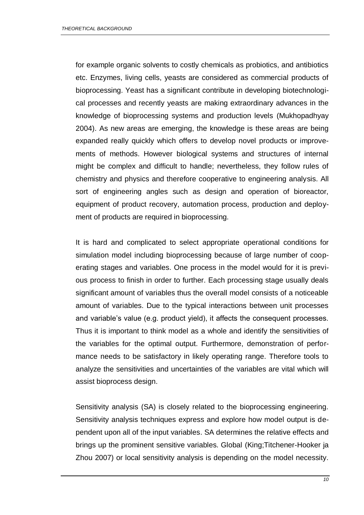for example organic solvents to costly chemicals as probiotics, and antibiotics etc. Enzymes, living cells, yeasts are considered as commercial products of bioprocessing. Yeast has a significant contribute in developing biotechnological processes and recently yeasts are making extraordinary advances in the knowledge of bioprocessing systems and production levels (Mukhopadhyay 2004). As new areas are emerging, the knowledge is these areas are being expanded really quickly which offers to develop novel products or improvements of methods. However biological systems and structures of internal might be complex and difficult to handle; nevertheless, they follow rules of chemistry and physics and therefore cooperative to engineering analysis. All sort of engineering angles such as design and operation of bioreactor, equipment of product recovery, automation process, production and deployment of products are required in bioprocessing.

It is hard and complicated to select appropriate operational conditions for simulation model including bioprocessing because of large number of cooperating stages and variables. One process in the model would for it is previous process to finish in order to further. Each processing stage usually deals significant amount of variables thus the overall model consists of a noticeable amount of variables. Due to the typical interactions between unit processes and variable's value (e.g. product yield), it affects the consequent processes. Thus it is important to think model as a whole and identify the sensitivities of the variables for the optimal output. Furthermore, demonstration of performance needs to be satisfactory in likely operating range. Therefore tools to analyze the sensitivities and uncertainties of the variables are vital which will assist bioprocess design.

Sensitivity analysis (SA) is closely related to the bioprocessing engineering. Sensitivity analysis techniques express and explore how model output is dependent upon all of the input variables. SA determines the relative effects and brings up the prominent sensitive variables. Global (King;Titchener-Hooker ja Zhou 2007) or local sensitivity analysis is depending on the model necessity.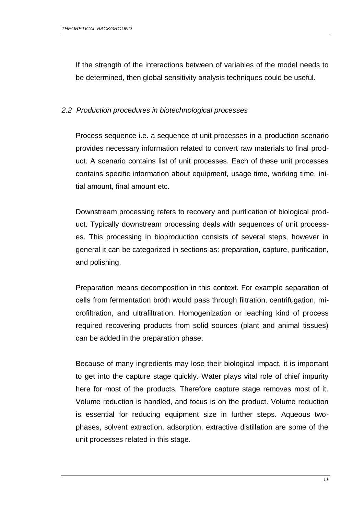If the strength of the interactions between of variables of the model needs to be determined, then global sensitivity analysis techniques could be useful.

### *2.2 Production procedures in biotechnological processes*

Process sequence i.e. a sequence of unit processes in a production scenario provides necessary information related to convert raw materials to final product. A scenario contains list of unit processes. Each of these unit processes contains specific information about equipment, usage time, working time, initial amount, final amount etc.

Downstream processing refers to recovery and purification of biological product. Typically downstream processing deals with sequences of unit processes. This processing in bioproduction consists of several steps, however in general it can be categorized in sections as: preparation, capture, purification, and polishing.

Preparation means decomposition in this context. For example separation of cells from fermentation broth would pass through filtration, centrifugation, microfiltration, and ultrafiltration. Homogenization or leaching kind of process required recovering products from solid sources (plant and animal tissues) can be added in the preparation phase.

Because of many ingredients may lose their biological impact, it is important to get into the capture stage quickly. Water plays vital role of chief impurity here for most of the products. Therefore capture stage removes most of it. Volume reduction is handled, and focus is on the product. Volume reduction is essential for reducing equipment size in further steps. Aqueous twophases, solvent extraction, adsorption, extractive distillation are some of the unit processes related in this stage.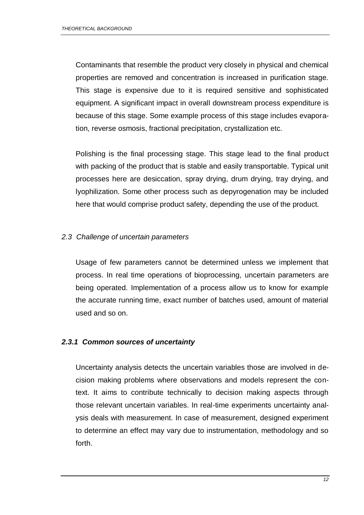Contaminants that resemble the product very closely in physical and chemical properties are removed and concentration is increased in purification stage. This stage is expensive due to it is required sensitive and sophisticated equipment. A significant impact in overall downstream process expenditure is because of this stage. Some example process of this stage includes evaporation, reverse osmosis, fractional precipitation, crystallization etc.

Polishing is the final processing stage. This stage lead to the final product with packing of the product that is stable and easily transportable. Typical unit processes here are desiccation, spray drying, drum drying, tray drying, and lyophilization. Some other process such as depyrogenation may be included here that would comprise product safety, depending the use of the product.

## *2.3 Challenge of uncertain parameters*

Usage of few parameters cannot be determined unless we implement that process. In real time operations of bioprocessing, uncertain parameters are being operated. Implementation of a process allow us to know for example the accurate running time, exact number of batches used, amount of material used and so on.

## *2.3.1 Common sources of uncertainty*

Uncertainty analysis detects the uncertain variables those are involved in decision making problems where observations and models represent the context. It aims to contribute technically to decision making aspects through those relevant uncertain variables. In real-time experiments uncertainty analysis deals with measurement. In case of measurement, designed experiment to determine an effect may vary due to instrumentation, methodology and so forth.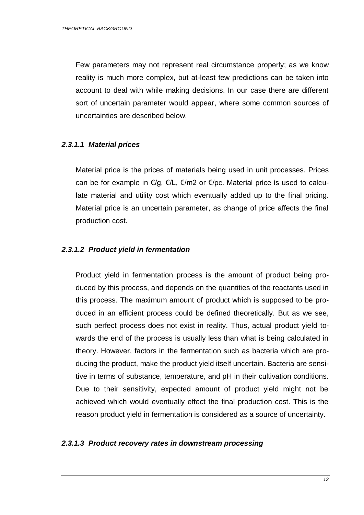Few parameters may not represent real circumstance properly; as we know reality is much more complex, but at-least few predictions can be taken into account to deal with while making decisions. In our case there are different sort of uncertain parameter would appear, where some common sources of uncertainties are described below.

### *2.3.1.1 Material prices*

Material price is the prices of materials being used in unit processes. Prices can be for example in €/g, €/L, €/m2 or €/pc. Material price is used to calculate material and utility cost which eventually added up to the final pricing. Material price is an uncertain parameter, as change of price affects the final production cost.

#### *2.3.1.2 Product yield in fermentation*

Product yield in fermentation process is the amount of product being produced by this process, and depends on the quantities of the reactants used in this process. The maximum amount of product which is supposed to be produced in an efficient process could be defined theoretically. But as we see, such perfect process does not exist in reality. Thus, actual product yield towards the end of the process is usually less than what is being calculated in theory. However, factors in the fermentation such as bacteria which are producing the product, make the product yield itself uncertain. Bacteria are sensitive in terms of substance, temperature, and pH in their cultivation conditions. Due to their sensitivity, expected amount of product yield might not be achieved which would eventually effect the final production cost. This is the reason product yield in fermentation is considered as a source of uncertainty.

### *2.3.1.3 Product recovery rates in downstream processing*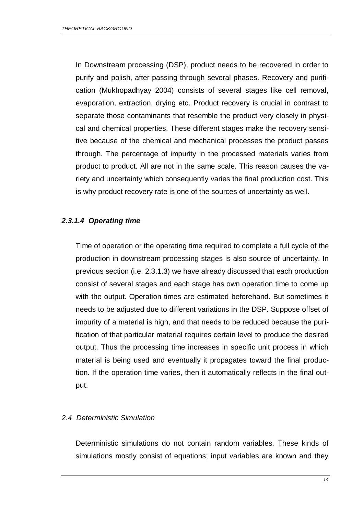In Downstream processing (DSP), product needs to be recovered in order to purify and polish, after passing through several phases. Recovery and purification (Mukhopadhyay 2004) consists of several stages like cell removal, evaporation, extraction, drying etc. Product recovery is crucial in contrast to separate those contaminants that resemble the product very closely in physical and chemical properties. These different stages make the recovery sensitive because of the chemical and mechanical processes the product passes through. The percentage of impurity in the processed materials varies from product to product. All are not in the same scale. This reason causes the variety and uncertainty which consequently varies the final production cost. This is why product recovery rate is one of the sources of uncertainty as well.

## *2.3.1.4 Operating time*

Time of operation or the operating time required to complete a full cycle of the production in downstream processing stages is also source of uncertainty. In previous section (i.e. 2.3.1.3) we have already discussed that each production consist of several stages and each stage has own operation time to come up with the output. Operation times are estimated beforehand. But sometimes it needs to be adjusted due to different variations in the DSP. Suppose offset of impurity of a material is high, and that needs to be reduced because the purification of that particular material requires certain level to produce the desired output. Thus the processing time increases in specific unit process in which material is being used and eventually it propagates toward the final production. If the operation time varies, then it automatically reflects in the final output.

### *2.4 Deterministic Simulation*

Deterministic simulations do not contain random variables. These kinds of simulations mostly consist of equations; input variables are known and they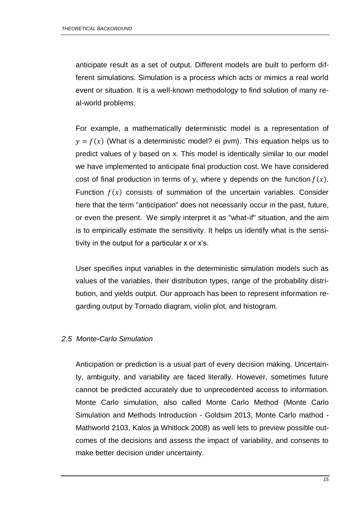anticipate result as a set of output. Different models are built to perform different simulations. Simulation is a process which acts or mimics a real world event or situation. It is a well-known methodology to find solution of many real-world problems.

For example, a mathematically deterministic model is a representation of  $y = f(x)$  (What is a deterministic model? ei pvm). This equation helps us to predict values of y based on x. This model is identically similar to our model we have implemented to anticipate final production cost. We have considered cost of final production in terms of y, where y depends on the function  $f(x)$ . Function  $f(x)$  consists of summation of the uncertain variables. Consider here that the term "anticipation" does not necessarily occur in the past, future, or even the present. We simply interpret it as "what-if" situation, and the aim is to empirically estimate the sensitivity. It helps us identify what is the sensitivity in the output for a particular x or x's.

User specifies input variables in the deterministic simulation models such as values of the variables, their distribution types, range of the probability distribution, and yields output. Our approach has been to represent information regarding output by Tornado diagram, violin plot, and histogram.

### *2.5 Monte-Carlo Simulation*

Anticipation or prediction is a usual part of every decision making. Uncertainty, ambiguity, and variability are faced literally. However, sometimes future cannot be predicted accurately due to unprecedented access to information. Monte Carlo simulation, also called Monte Carlo Method (Monte Carlo Simulation and Methods Introduction - Goldsim 2013, Monte Carlo mathod - Mathworld 2103, Kalos ja Whitlock 2008) as well lets to preview possible outcomes of the decisions and assess the impact of variability, and consents to make better decision under uncertainty.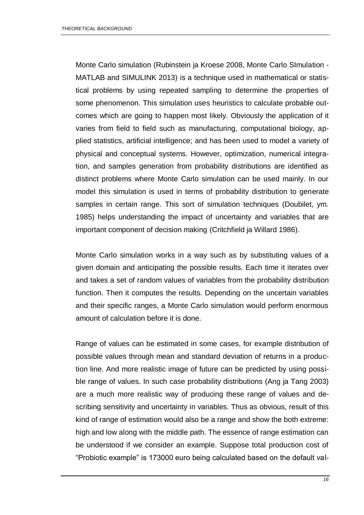Monte Carlo simulation (Rubinstein ja Kroese 2008, Monte Carlo SImulation - MATLAB and SIMULINK 2013) is a technique used in mathematical or statistical problems by using repeated sampling to determine the properties of some phenomenon. This simulation uses heuristics to calculate probable outcomes which are going to happen most likely. Obviously the application of it varies from field to field such as manufacturing, computational biology, applied statistics, artificial intelligence; and has been used to model a variety of physical and conceptual systems. However, optimization, numerical integration, and samples generation from probability distributions are identified as distinct problems where Monte Carlo simulation can be used mainly. In our model this simulation is used in terms of probability distribution to generate samples in certain range. This sort of simulation techniques (Doubilet, ym. 1985) helps understanding the impact of uncertainty and variables that are important component of decision making (Critchfield ja Willard 1986).

Monte Carlo simulation works in a way such as by substituting values of a given domain and anticipating the possible results. Each time it iterates over and takes a set of random values of variables from the probability distribution function. Then it computes the results. Depending on the uncertain variables and their specific ranges, a Monte Carlo simulation would perform enormous amount of calculation before it is done.

Range of values can be estimated in some cases, for example distribution of possible values through mean and standard deviation of returns in a production line. And more realistic image of future can be predicted by using possible range of values. In such case probability distributions (Ang ja Tang 2003) are a much more realistic way of producing these range of values and describing sensitivity and uncertainty in variables. Thus as obvious, result of this kind of range of estimation would also be a range and show the both extreme: high and low along with the middle path. The essence of range estimation can be understood if we consider an example. Suppose total production cost of "Probiotic example" is 173000 euro being calculated based on the default val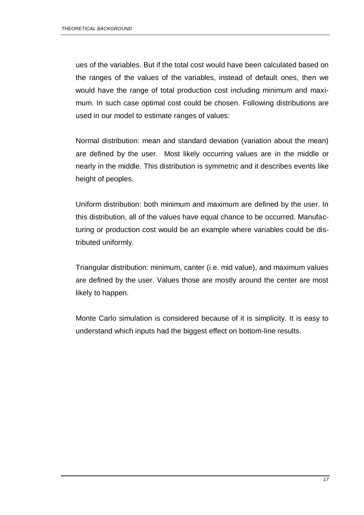ues of the variables. But if the total cost would have been calculated based on the ranges of the values of the variables, instead of default ones, then we would have the range of total production cost including minimum and maximum. In such case optimal cost could be chosen. Following distributions are used in our model to estimate ranges of values:

Normal distribution: mean and standard deviation (variation about the mean) are defined by the user. Most likely occurring values are in the middle or nearly in the middle. This distribution is symmetric and it describes events like height of peoples.

Uniform distribution: both minimum and maximum are defined by the user. In this distribution, all of the values have equal chance to be occurred. Manufacturing or production cost would be an example where variables could be distributed uniformly.

Triangular distribution: minimum, canter (i.e. mid value), and maximum values are defined by the user. Values those are mostly around the center are most likely to happen.

Monte Carlo simulation is considered because of it is simplicity. It is easy to understand which inputs had the biggest effect on bottom-line results.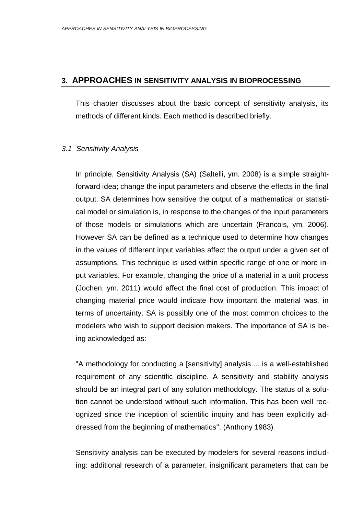### **3. APPROACHES IN SENSITIVITY ANALYSIS IN BIOPROCESSING**

This chapter discusses about the basic concept of sensitivity analysis, its methods of different kinds. Each method is described briefly.

### *3.1 Sensitivity Analysis*

In principle, Sensitivity Analysis (SA) (Saltelli, ym. 2008) is a simple straightforward idea; change the input parameters and observe the effects in the final output. SA determines how sensitive the output of a mathematical or statistical model or simulation is, in response to the changes of the input parameters of those models or simulations which are uncertain (Francois, ym. 2006). However SA can be defined as a technique used to determine how changes in the values of different input variables affect the output under a given set of assumptions. This technique is used within specific range of one or more input variables. For example, changing the price of a material in a unit process (Jochen, ym. 2011) would affect the final cost of production. This impact of changing material price would indicate how important the material was, in terms of uncertainty. SA is possibly one of the most common choices to the modelers who wish to support decision makers. The importance of SA is being acknowledged as:

"A methodology for conducting a [sensitivity] analysis ... is a well-established requirement of any scientific discipline. A sensitivity and stability analysis should be an integral part of any solution methodology. The status of a solution cannot be understood without such information. This has been well recognized since the inception of scientific inquiry and has been explicitly addressed from the beginning of mathematics". (Anthony 1983)

Sensitivity analysis can be executed by modelers for several reasons including: additional research of a parameter, insignificant parameters that can be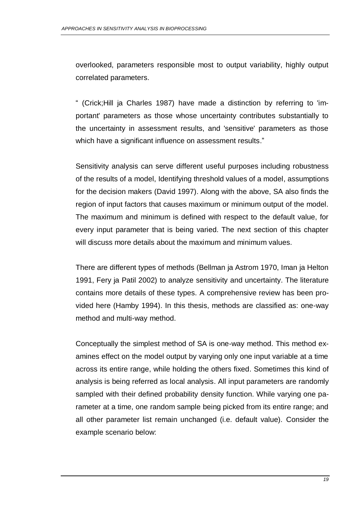overlooked, parameters responsible most to output variability, highly output correlated parameters.

" (Crick;Hill ja Charles 1987) have made a distinction by referring to 'important' parameters as those whose uncertainty contributes substantially to the uncertainty in assessment results, and 'sensitive' parameters as those which have a significant influence on assessment results."

Sensitivity analysis can serve different useful purposes including robustness of the results of a model, Identifying threshold values of a model, assumptions for the decision makers (David 1997). Along with the above, SA also finds the region of input factors that causes maximum or minimum output of the model. The maximum and minimum is defined with respect to the default value, for every input parameter that is being varied. The next section of this chapter will discuss more details about the maximum and minimum values.

There are different types of methods (Bellman ja Astrom 1970, Iman ja Helton 1991, Fery ja Patil 2002) to analyze sensitivity and uncertainty. The literature contains more details of these types. A comprehensive review has been provided here (Hamby 1994). In this thesis, methods are classified as: one-way method and multi-way method.

Conceptually the simplest method of SA is one-way method. This method examines effect on the model output by varying only one input variable at a time across its entire range, while holding the others fixed. Sometimes this kind of analysis is being referred as local analysis. All input parameters are randomly sampled with their defined probability density function. While varying one parameter at a time, one random sample being picked from its entire range; and all other parameter list remain unchanged (i.e. default value). Consider the example scenario below: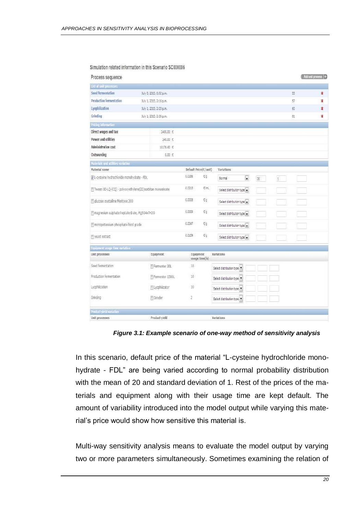| Process sequence                                          |                         |        |                            |                              |    |    |    | Add and process (+) |
|-----------------------------------------------------------|-------------------------|--------|----------------------------|------------------------------|----|----|----|---------------------|
| List of onit processes                                    |                         |        |                            |                              |    |    |    |                     |
| Seed fermentation                                         | July 8, 2013, 6:52 p.m. |        |                            |                              |    |    | 55 | 裳                   |
| Production fermentation                                   | July 1, 2013, 2:15 p.m. |        |                            |                              |    |    | 57 | ¥,                  |
| Lycyhilization                                            | July 1, 2013, 2:23 p.m. |        |                            |                              |    |    | 簽  | ×                   |
| Griodino                                                  | July 1, 2013, 2:26 p.m. |        |                            |                              |    |    | 驻  | 歶                   |
| Pricing information                                       |                         |        |                            |                              |    |    |    |                     |
| Direct wages and tax                                      | 2400.00 毛               |        |                            |                              |    |    |    |                     |
| Power and utilities                                       | 20.提卡                   |        |                            |                              |    |    |    |                     |
| Administration cost                                       | 10178.41 E              |        |                            |                              |    |    |    |                     |
| Outsourcing                                               | 0.03 毛                  |        |                            |                              |    |    |    |                     |
| Naterials and orbities variation                          |                         |        |                            |                              |    |    |    |                     |
| Material name                                             |                         |        | Default Price(C/unit)      | Variations                   |    |    |    |                     |
| L-cysteme hudrochloride monohydrate - FDL                 |                         | 0.015E | 毡                          | $\blacksquare$<br>Normal     | W. | t. |    |                     |
| Tween 80-LQ-(CQ) - polyoxyethylene(20)sorbitan monoeleate |                         | 0.0213 | Eint.                      | Select distribution type     |    |    |    |                     |
| ducose crystaline Meritose 200                            |                         | 0.0008 | 麹                          | Select distribution type     |    |    |    |                     |
| Timagnesium sulphate heptahydrate, MgSO4x7H2O             |                         | 0.0009 | Đ,                         | Select distribution type [w] |    |    |    |                     |
| Timonopotassium phosphate food grade                      |                         | 0.0047 | 鸱                          | Select distribution type     |    |    |    |                     |
| Ti yeast extract                                          |                         | 0.0159 | 砲                          | Select distribution type     |    |    |    |                     |
| Equipment usage fine variation                            |                         |        |                            |                              |    |    |    |                     |
| Unit processes                                            | Equipment               |        | Equipment<br>usage time(h) | Variations                   |    |    |    |                     |
| Seed fermentation                                         | Fi Fermenter 30L        | 18     |                            | Select distribution type     |    |    |    |                     |
| Production fermentation                                   | Ti Fermentor 1500L      | 18     |                            | Select distribution type     |    |    |    |                     |
| Lyophilization                                            | Fluophistator           | 10     |                            | Select distribution type     |    |    |    |                     |
| Grinding                                                  | <b>FiGyrider</b>        | 2      |                            | Select distribution type     |    |    |    |                     |
| Product yield variation                                   |                         |        |                            |                              |    |    |    |                     |
| Unit processes                                            | Product yield           |        |                            | <b>Variations</b>            |    |    |    |                     |

Simulation related information in this Scenario SC000006

*Figure 3.1: Example scenario of one-way method of sensitivity analysis*

<span id="page-19-0"></span>In this scenario, default price of the material "L-cysteine hydrochloride monohydrate - FDL" are being varied according to normal probability distribution with the mean of 20 and standard deviation of 1. Rest of the prices of the materials and equipment along with their usage time are kept default. The amount of variability introduced into the model output while varying this material's price would show how sensitive this material is.

Multi-way sensitivity analysis means to evaluate the model output by varying two or more parameters simultaneously. Sometimes examining the relation of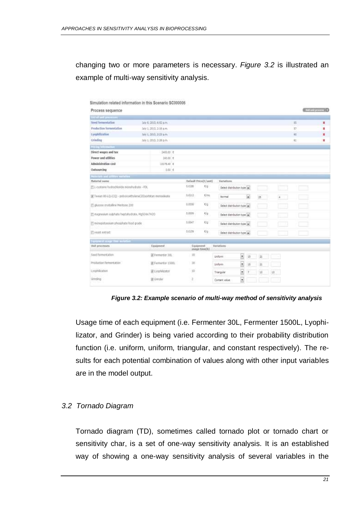changing two or more parameters is necessary. *Figure 3.2* is illustrated an example of multi-way sensitivity analysis.

|                                                 | Simulation related information in this Scenario SC000006    |        |                             |                              |                      |        |                         |       |                      |    |     |              |  |
|-------------------------------------------------|-------------------------------------------------------------|--------|-----------------------------|------------------------------|----------------------|--------|-------------------------|-------|----------------------|----|-----|--------------|--|
| Process sequence                                |                                                             |        |                             |                              |                      |        |                         |       |                      |    |     | Altertamme D |  |
| <b>Little and area</b>                          |                                                             |        |                             |                              |                      |        |                         |       |                      |    |     |              |  |
| <b>Seed Semiestation</b>                        | Jaly 6, 2013, 6:52 p.m.                                     |        |                             |                              |                      |        |                         |       |                      | m  |     | ٠            |  |
| <b>Production Sermentation</b>                  | Jaly 1, 2013, 2:16 p.m.                                     |        |                             |                              |                      |        |                         |       |                      | 17 |     | н            |  |
| tyephilization                                  | Jaly 1, 2012, 2:21 p.m.                                     |        |                             |                              |                      |        |                         |       |                      | 11 |     | ٠            |  |
| Crinding                                        | Jaly 1, 2013, 2:26 p.m.                                     |        |                             |                              |                      |        |                         |       |                      | 钍  |     | z            |  |
| house information.                              |                                                             |        |                             |                              |                      |        |                         |       |                      |    |     |              |  |
| Direct wages and tax                            | 3400.00 E                                                   |        |                             |                              |                      |        |                         |       |                      |    |     |              |  |
| <b>Power and utilities</b>                      | 240.00 Y                                                    |        |                             |                              |                      |        |                         |       |                      |    |     |              |  |
| Administration cost                             | 10176-42 E                                                  |        |                             |                              |                      |        |                         |       |                      |    |     |              |  |
| Outsourcing                                     | $0.05 \, \text{K}$                                          |        |                             |                              |                      |        |                         |       |                      |    |     |              |  |
| Materials and ordinary surfaces -               |                                                             |        |                             |                              |                      |        |                         |       |                      |    |     |              |  |
| Material same                                   |                                                             |        | Default Frice[E/ant]        | Variettien.                  |                      |        |                         |       |                      |    |     |              |  |
| 图 L-tystene hydrochloride monshsdrate - RX.     |                                                             | 1.0186 | E/g                         | Select distribution type (w) |                      |        |                         |       | الكال                |    | - 1 |              |  |
|                                                 | (@ Tween 88-LQ-(CC) - powooyattn/kma(20)sorbit.an monetkata | 1.0213 | ETH.                        | <b>Burnet</b>                |                      | Q      | 25                      |       | $\ddot{\phantom{a}}$ |    |     |              |  |
| El gluzza crystaline Meritate 200               |                                                             | 1,0008 | */g                         | Select distribution type []  |                      |        |                         |       |                      |    |     |              |  |
| E nagnesium sulphate-bestativärate, HgSO4x7H2O. |                                                             | 1,0009 | Kig                         | Select distribution type [m] |                      |        |                         |       |                      |    |     |              |  |
| T monopotaxisum phosphate food grade            |                                                             | 1,0047 | E/c                         | Select distribution type [w] |                      |        |                         |       |                      |    |     |              |  |
| E visst edget                                   |                                                             | 1.015% | €ig                         | Select distribution type (m) |                      |        |                         |       |                      |    |     |              |  |
| <b>Turnwest mage they conduct</b>               |                                                             |        |                             |                              |                      |        |                         |       |                      |    |     |              |  |
| <b>Well processes</b>                           | Epipeent                                                    |        | Equipment<br>usage timelli) | <b>Variations</b>            |                      |        |                         |       |                      |    |     |              |  |
| food former tation                              | E Firmenter 30L                                             | 18     |                             | Linkform.                    | $\ddot{\phantom{0}}$ | $15 -$ | iżt.                    |       |                      |    |     |              |  |
| Production fermentation                         | 第Femerby 1500L                                              | 38     |                             | Linkern                      | $\cdot$              | 15     | $\overline{\mathbf{z}}$ |       |                      |    |     |              |  |
| <b>Lyophilization</b>                           | E Lyophilustor                                              | 10     |                             | Triangular                   | $\overline{z}$       | r      | 1d                      | $-22$ |                      |    |     |              |  |
| Grimding                                        | <b>DE Grender</b>                                           | z      |                             | Cartant value:               | $\cdot$              |        |                         |       |                      |    |     |              |  |

*Figure 3.2: Example scenario of multi-way method of sensitivity analysis*

<span id="page-20-0"></span>Usage time of each equipment (i.e. Fermenter 30L, Fermenter 1500L, Lyophilizator, and Grinder) is being varied according to their probability distribution function (i.e. uniform, uniform, triangular, and constant respectively). The results for each potential combination of values along with other input variables are in the model output.

### *3.2 Tornado Diagram*

Tornado diagram (TD), sometimes called tornado plot or tornado chart or sensitivity char, is a set of one-way sensitivity analysis. It is an established way of showing a one-way sensitivity analysis of several variables in the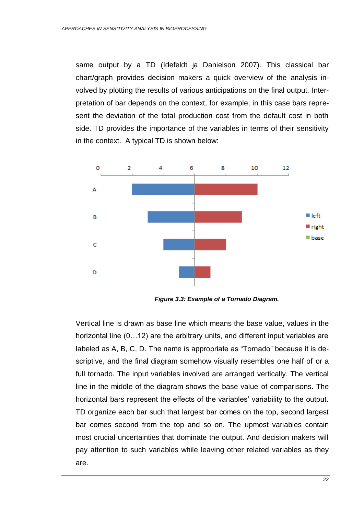same output by a TD (Idefeldt ja Danielson 2007). This classical bar chart/graph provides decision makers a quick overview of the analysis involved by plotting the results of various anticipations on the final output. Interpretation of bar depends on the context, for example, in this case bars represent the deviation of the total production cost from the default cost in both side. TD provides the importance of the variables in terms of their sensitivity in the context. A typical TD is shown below:



*Figure 3.3: Example of a Tornado Diagram.*

<span id="page-21-0"></span>Vertical line is drawn as base line which means the base value, values in the horizontal line (0...12) are the arbitrary units, and different input variables are labeled as A, B, C, D. The name is appropriate as "Tornado" because it is descriptive, and the final diagram somehow visually resembles one half of or a full tornado. The input variables involved are arranged vertically. The vertical line in the middle of the diagram shows the base value of comparisons. The horizontal bars represent the effects of the variables' variability to the output. TD organize each bar such that largest bar comes on the top, second largest bar comes second from the top and so on. The upmost variables contain most crucial uncertainties that dominate the output. And decision makers will pay attention to such variables while leaving other related variables as they are.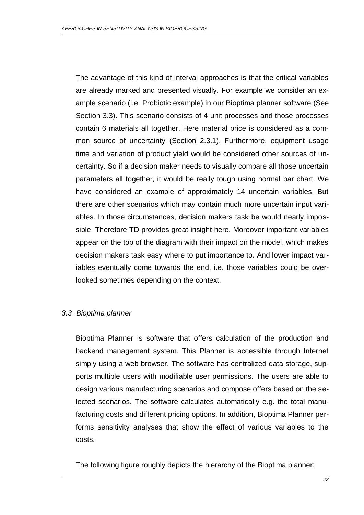The advantage of this kind of interval approaches is that the critical variables are already marked and presented visually. For example we consider an example scenario (i.e. Probiotic example) in our Bioptima planner software (See Section 3.3). This scenario consists of 4 unit processes and those processes contain 6 materials all together. Here material price is considered as a common source of uncertainty (Section 2.3.1). Furthermore, equipment usage time and variation of product yield would be considered other sources of uncertainty. So if a decision maker needs to visually compare all those uncertain parameters all together, it would be really tough using normal bar chart. We have considered an example of approximately 14 uncertain variables. But there are other scenarios which may contain much more uncertain input variables. In those circumstances, decision makers task be would nearly impossible. Therefore TD provides great insight here. Moreover important variables appear on the top of the diagram with their impact on the model, which makes decision makers task easy where to put importance to. And lower impact variables eventually come towards the end, i.e. those variables could be overlooked sometimes depending on the context.

## *3.3 Bioptima planner*

Bioptima Planner is software that offers calculation of the production and backend management system. This Planner is accessible through Internet simply using a web browser. The software has centralized data storage, supports multiple users with modifiable user permissions. The users are able to design various manufacturing scenarios and compose offers based on the selected scenarios. The software calculates automatically e.g. the total manufacturing costs and different pricing options. In addition, Bioptima Planner performs sensitivity analyses that show the effect of various variables to the costs.

The following figure roughly depicts the hierarchy of the Bioptima planner: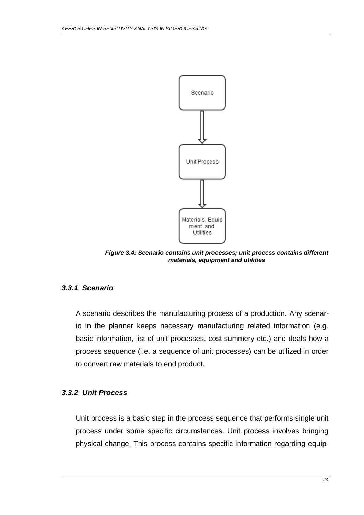

*Figure 3.4: Scenario contains unit processes; unit process contains different materials, equipment and utilities*

## <span id="page-23-0"></span>*3.3.1 Scenario*

A scenario describes the manufacturing process of a production. Any scenario in the planner keeps necessary manufacturing related information (e.g. basic information, list of unit processes, cost summery etc.) and deals how a process sequence (i.e. a sequence of unit processes) can be utilized in order to convert raw materials to end product.

## *3.3.2 Unit Process*

Unit process is a basic step in the process sequence that performs single unit process under some specific circumstances. Unit process involves bringing physical change. This process contains specific information regarding equip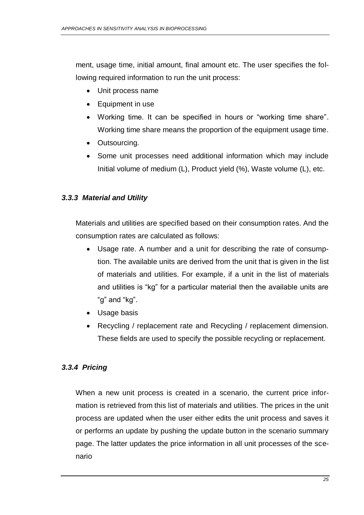ment, usage time, initial amount, final amount etc. The user specifies the following required information to run the unit process:

- Unit process name
- Equipment in use
- Working time. It can be specified in hours or "working time share". Working time share means the proportion of the equipment usage time.
- Outsourcing.
- Some unit processes need additional information which may include Initial volume of medium (L), Product yield (%), Waste volume (L), etc.

## *3.3.3 Material and Utility*

Materials and utilities are specified based on their consumption rates. And the consumption rates are calculated as follows:

- Usage rate. A number and a unit for describing the rate of consumption. The available units are derived from the unit that is given in the list of materials and utilities. For example, if a unit in the list of materials and utilities is "kg" for a particular material then the available units are "g" and "kg".
- Usage basis
- Recycling / replacement rate and Recycling / replacement dimension. These fields are used to specify the possible recycling or replacement.

## *3.3.4 Pricing*

When a new unit process is created in a scenario, the current price information is retrieved from this list of materials and utilities. The prices in the unit process are updated when the user either edits the unit process and saves it or performs an update by pushing the update button in the scenario summary page. The latter updates the price information in all unit processes of the scenario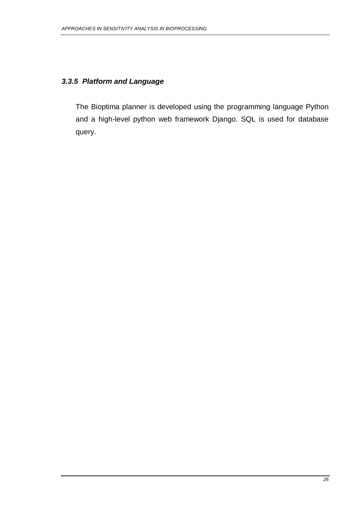## *3.3.5 Platform and Language*

The Bioptima planner is developed using the programming language Python and a high-level python web framework Django. SQL is used for database query.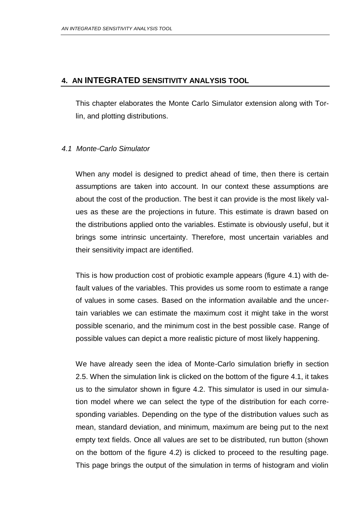## **4. AN INTEGRATED SENSITIVITY ANALYSIS TOOL**

This chapter elaborates the Monte Carlo Simulator extension along with Torlin, and plotting distributions.

### *4.1 Monte-Carlo Simulator*

When any model is designed to predict ahead of time, then there is certain assumptions are taken into account. In our context these assumptions are about the cost of the production. The best it can provide is the most likely values as these are the projections in future. This estimate is drawn based on the distributions applied onto the variables. Estimate is obviously useful, but it brings some intrinsic uncertainty. Therefore, most uncertain variables and their sensitivity impact are identified.

This is how production cost of probiotic example appears (figure 4.1) with default values of the variables. This provides us some room to estimate a range of values in some cases. Based on the information available and the uncertain variables we can estimate the maximum cost it might take in the worst possible scenario, and the minimum cost in the best possible case. Range of possible values can depict a more realistic picture of most likely happening.

We have already seen the idea of Monte-Carlo simulation briefly in section 2.5. When the simulation link is clicked on the bottom of the figure 4.1, it takes us to the simulator shown in figure 4.2. This simulator is used in our simulation model where we can select the type of the distribution for each corresponding variables. Depending on the type of the distribution values such as mean, standard deviation, and minimum, maximum are being put to the next empty text fields. Once all values are set to be distributed, run button (shown on the bottom of the figure 4.2) is clicked to proceed to the resulting page. This page brings the output of the simulation in terms of histogram and violin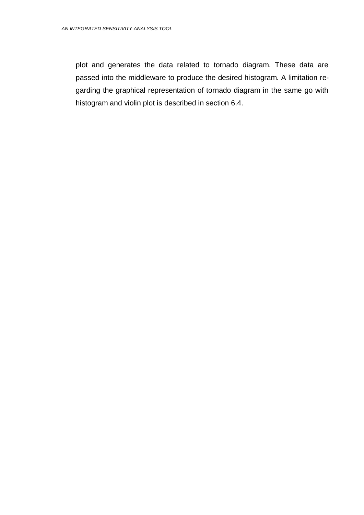plot and generates the data related to tornado diagram. These data are passed into the middleware to produce the desired histogram. A limitation regarding the graphical representation of tornado diagram in the same go with histogram and violin plot is described in section 6.4.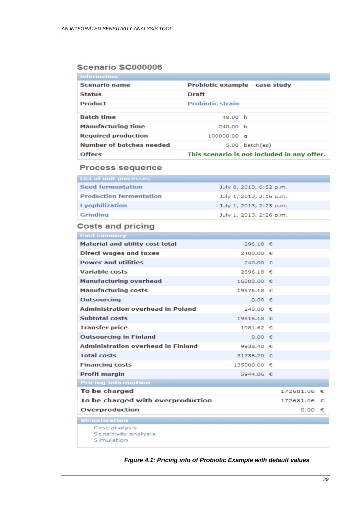### Scenario SC000006

| <b>Information</b>         |                                |                                             |  |  |  |
|----------------------------|--------------------------------|---------------------------------------------|--|--|--|
| <b>Scenario name</b>       | Probiotic example - case study |                                             |  |  |  |
| <b>Status</b>              | Draft                          |                                             |  |  |  |
| <b>Product</b>             | <b>Probiotic strain</b>        |                                             |  |  |  |
|                            |                                |                                             |  |  |  |
| <b>Batch time</b>          | 48.00 h                        |                                             |  |  |  |
| <b>Manufacturing time</b>  | 240.00 h                       |                                             |  |  |  |
| <b>Required production</b> | 100000.00 g                    |                                             |  |  |  |
| Number of batches needed   |                                | $5.00$ batch $(es)$                         |  |  |  |
| <b>Offers</b>              |                                | This scenario is not included in any offer. |  |  |  |
|                            |                                |                                             |  |  |  |

#### **Process sequence**

| List of unit processes         |                         |
|--------------------------------|-------------------------|
| <b>Seed fermentation</b>       | July 8, 2013, 6:52 p.m. |
| <b>Production fermentation</b> | July 1, 2013, 2:16 p.m. |
| <b>Lyophilization</b>          | July 1, 2013, 2:23 p.m. |
| Grinding                       | July 1, 2013, 2:26 p.m. |

## **Costs and pricing**

| Cost summary                                         |             |              |  |
|------------------------------------------------------|-------------|--------------|--|
| <b>Material and utility cost total</b>               | 296.18 €    |              |  |
| <b>Direct wages and taxes</b>                        | 2400.00 €   |              |  |
| <b>Power and utilities</b>                           | 240.00 €    |              |  |
| <b>Variable costs</b>                                | 2696.18 €   |              |  |
| <b>Manufacturing overhead</b>                        | 16880.00 €  |              |  |
| <b>Manufacturing costs</b>                           | 19576.18 €  |              |  |
| <b>Outsourcing</b>                                   | $0.00 \in$  |              |  |
| <b>Administration overhead in Poland</b>             | 240.00 €    |              |  |
| <b>Subtotal costs</b>                                | 19816.18 €  |              |  |
| <b>Transfer price</b>                                | 1981.62 €   |              |  |
| <b>Outsourcing in Finland</b>                        | $0.00 \in$  |              |  |
| <b>Administration overhead in Finland</b>            | 9938.40 €   |              |  |
| <b>Total costs</b>                                   | 31736.20 €  |              |  |
| <b>Financing costs</b>                               | 135000.00 € |              |  |
| <b>Profit margin</b>                                 | 5944.86 €   |              |  |
| <b>Pricing information</b>                           |             |              |  |
| To be charged                                        |             | 172681.06 €  |  |
| To be charged with overproduction                    |             | 172681.06 €  |  |
| Overproduction                                       |             | $0.00$ $\in$ |  |
| Visualization                                        |             |              |  |
| Cost analys is<br>Sensitivity analysis<br>Simulation |             |              |  |

#### <span id="page-28-0"></span>*Figure 4.1: Pricing info of Probiotic Example with default values*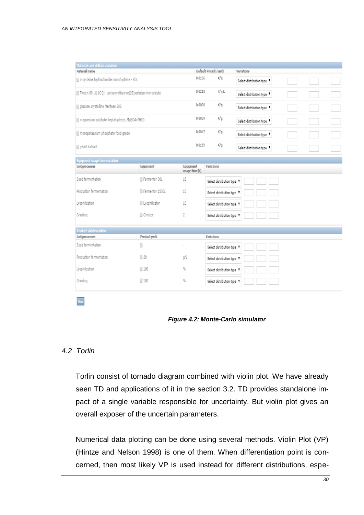| Materials and utilities variation                               |                 |                                   |                            |                            |
|-----------------------------------------------------------------|-----------------|-----------------------------------|----------------------------|----------------------------|
| Material name                                                   |                 |                                   | Default Price(£/unit)      | <b>Variations</b>          |
| III L-cysteine hydrochloride monohydrate - FDL                  |                 | 0.0186                            | €¦g                        | Select distribution type V |
| [iii] Tween 80-LQ-(CQ) - polyoxyethylene(20)sorbitan monoeleate |                 | 0.0213                            | €/mL                       | Select distribution type " |
| gi qlucose crystalline Meritose 200                             |                 | 0.0008                            | €¦g                        | Select distribution type " |
| magnesium sulphate heptahydrate, MgSO4x7H2O                     |                 | 0.0009                            | 학                          | Select distribution type V |
| $\Box$ monopotassium phosphate food grade                       |                 | 0.0047                            | €¦g                        | Select distribution type V |
| Freast extract                                                  |                 | 0.0159                            | εŀα                        | Select distribution type " |
| Equipment usage time variation                                  |                 |                                   |                            |                            |
| Unit processes                                                  | Equipment       | <b>Equipment</b><br>usage time(h) | <b>Variations</b>          |                            |
| Seed fermentation                                               | Fermenter 30L   | 18                                | Select distribution type 1 |                            |
| Production fermentation                                         | Fermentor 1500L | 18                                | Select distribution type 1 |                            |
| Lyophilization                                                  | U Lyophilizator | 10                                | Select distribution type V |                            |
| Grinding                                                        | <b>Grinder</b>  | 2                                 | Select distribution type 1 |                            |
| Product yield variation                                         |                 |                                   |                            |                            |
| Unit processes                                                  | Product yield   |                                   | Variations                 |                            |
| Seed fermentation                                               | $\mathbb{R}$ -  |                                   | Select distribution type 1 |                            |
| Production fermentation                                         | $\Box$ 20       | g).                               | Select distribution type # |                            |
| Lyophilization                                                  | $\Box$ 100      | q,                                | Select distribution type V |                            |
| Grinding                                                        | $\Box$ 100      | q,                                | Select distribution type 1 |                            |
|                                                                 |                 |                                   |                            |                            |

*Figure 4.2: Monte-Carlo simulator*

### *4.2 Torlin*

<span id="page-29-0"></span>Run

Torlin consist of tornado diagram combined with violin plot. We have already seen TD and applications of it in the section 3.2. TD provides standalone impact of a single variable responsible for uncertainty. But violin plot gives an overall exposer of the uncertain parameters.

Numerical data plotting can be done using several methods. Violin Plot (VP) (Hintze and Nelson 1998) is one of them. When differentiation point is concerned, then most likely VP is used instead for different distributions, espe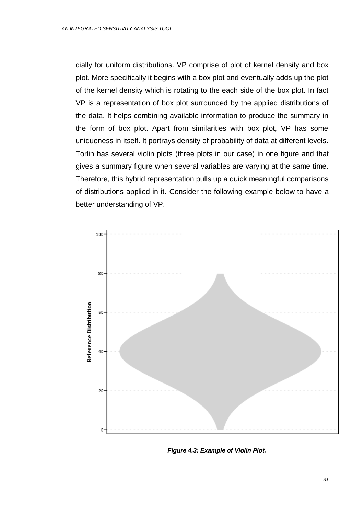cially for uniform distributions. VP comprise of plot of kernel density and box plot. More specifically it begins with a box plot and eventually adds up the plot of the kernel density which is rotating to the each side of the box plot. In fact VP is a representation of box plot surrounded by the applied distributions of the data. It helps combining available information to produce the summary in the form of box plot. Apart from similarities with box plot, VP has some uniqueness in itself. It portrays density of probability of data at different levels. Torlin has several violin plots (three plots in our case) in one figure and that gives a summary figure when several variables are varying at the same time. Therefore, this hybrid representation pulls up a quick meaningful comparisons of distributions applied in it. Consider the following example below to have a better understanding of VP.



<span id="page-30-0"></span>*Figure 4.3: Example of Violin Plot.*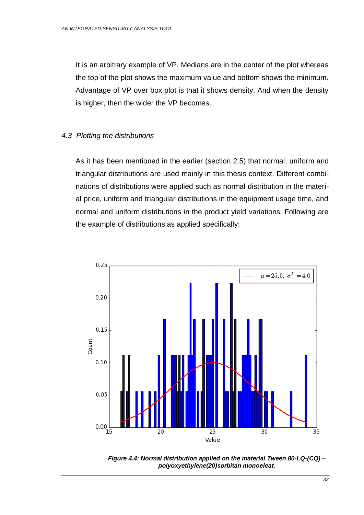It is an arbitrary example of VP. Medians are in the center of the plot whereas the top of the plot shows the maximum value and bottom shows the minimum. Advantage of VP over box plot is that it shows density. And when the density is higher, then the wider the VP becomes.

### *4.3 Plotting the distributions*

As it has been mentioned in the earlier (section 2.5) that normal, uniform and triangular distributions are used mainly in this thesis context. Different combinations of distributions were applied such as normal distribution in the material price, uniform and triangular distributions in the equipment usage time, and normal and uniform distributions in the product yield variations. Following are the example of distributions as applied specifically:



<span id="page-31-0"></span>*Figure 4.4: Normal distribution applied on the material Tween 80-LQ-(CQ) – polyoxyethylene(20)sorbitan monoeleat.*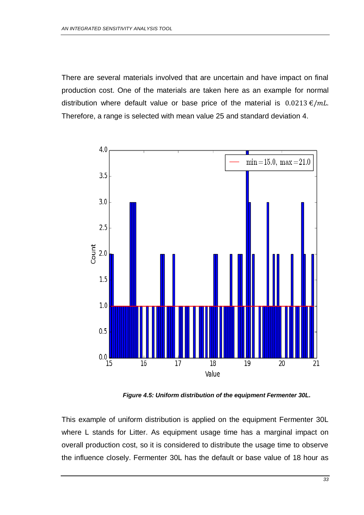There are several materials involved that are uncertain and have impact on final production cost. One of the materials are taken here as an example for normal distribution where default value or base price of the material is  $0.0213 \epsilon/mL$ . Therefore, a range is selected with mean value 25 and standard deviation 4.



*Figure 4.5: Uniform distribution of the equipment Fermenter 30L.*

<span id="page-32-0"></span>This example of uniform distribution is applied on the equipment Fermenter 30L where L stands for Litter. As equipment usage time has a marginal impact on overall production cost, so it is considered to distribute the usage time to observe the influence closely. Fermenter 30L has the default or base value of 18 hour as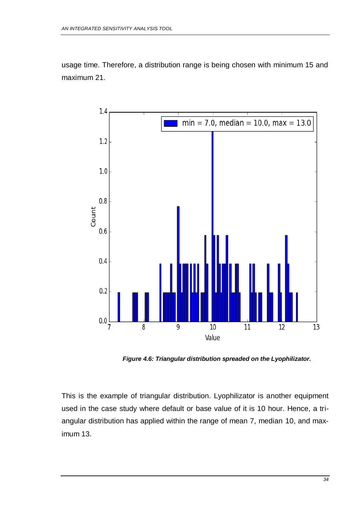usage time. Therefore, a distribution range is being chosen with minimum 15 and maximum 21.



*Figure 4.6: Triangular distribution spreaded on the Lyophilizator.*

<span id="page-33-0"></span>This is the example of triangular distribution. Lyophilizator is another equipment used in the case study where default or base value of it is 10 hour. Hence, a triangular distribution has applied within the range of mean 7, median 10, and maximum 13.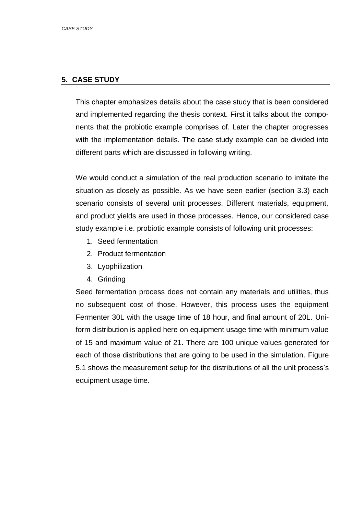### **5. CASE STUDY**

This chapter emphasizes details about the case study that is been considered and implemented regarding the thesis context. First it talks about the components that the probiotic example comprises of. Later the chapter progresses with the implementation details. The case study example can be divided into different parts which are discussed in following writing.

We would conduct a simulation of the real production scenario to imitate the situation as closely as possible. As we have seen earlier (section 3.3) each scenario consists of several unit processes. Different materials, equipment, and product yields are used in those processes. Hence, our considered case study example i.e. probiotic example consists of following unit processes:

- 1. Seed fermentation
- 2. Product fermentation
- 3. Lyophilization
- 4. Grinding

Seed fermentation process does not contain any materials and utilities, thus no subsequent cost of those. However, this process uses the equipment Fermenter 30L with the usage time of 18 hour, and final amount of 20L. Uniform distribution is applied here on equipment usage time with minimum value of 15 and maximum value of 21. There are 100 unique values generated for each of those distributions that are going to be used in the simulation. Figure 5.1 shows the measurement setup for the distributions of all the unit process's equipment usage time.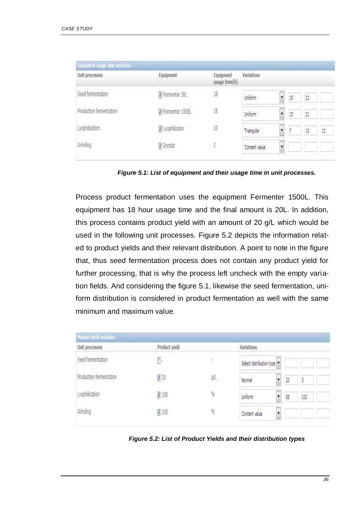| Unit processes          | Equipment       | Equipment<br>usage time(h) | <b>Variations</b> |         |                                                                                                                                                                                                                                                                                                                                                                                                                                                                                                             |    |
|-------------------------|-----------------|----------------------------|-------------------|---------|-------------------------------------------------------------------------------------------------------------------------------------------------------------------------------------------------------------------------------------------------------------------------------------------------------------------------------------------------------------------------------------------------------------------------------------------------------------------------------------------------------------|----|
| Seed fermentation       | Fermenter 30L   | $18\,$                     | Uniform           | ¥<br>15 | $\overline{\mathbf{21}}% \qquad \qquad \overline{\mathbf{22}}% \qquad \qquad \overline{\mathbf{23}}% \qquad \qquad \overline{\mathbf{24}}% \qquad \qquad \overline{\mathbf{24}}% \qquad \qquad \overline{\mathbf{24}}% \qquad \qquad \overline{\mathbf{24}}% \qquad \qquad \overline{\mathbf{25}}% \qquad \qquad \overline{\mathbf{24}}% \qquad \qquad \overline{\mathbf{25}}% \qquad \qquad \overline{\mathbf{27}}% \qquad \qquad \overline{\mathbf{27}}% \qquad \qquad \overline{\mathbf{27}}% \qquad \q$ |    |
| Production fermentation | Fermentor 1500L | $18\,$                     | Uniform           | ¥<br>15 | 21                                                                                                                                                                                                                                                                                                                                                                                                                                                                                                          |    |
| Lyophilization          | V Lyophiizator  | 10                         | Triangular        | ¥       | 10                                                                                                                                                                                                                                                                                                                                                                                                                                                                                                          | 13 |
| Grinding                | Grinder         | $\overline{2}$             | Contant value     | ¥       |                                                                                                                                                                                                                                                                                                                                                                                                                                                                                                             |    |

*Figure 5.1: List of equipment and their usage time in unit processes.*

<span id="page-35-0"></span>Process product fermentation uses the equipment Fermenter 1500L. This equipment has 18 hour usage time and the final amount is 20L. In addition, this process contains product yield with an amount of 20 g/L which would be used in the following unit processes. Figure 5.2 depicts the information related to product yields and their relevant distribution. A point to note in the figure that, thus seed fermentation process does not contain any product yield for further processing, that is why the process left uncheck with the empty variation fields. And considering the figure 5.1, likewise the seed fermentation, uniform distribution is considered in product fermentation as well with the same minimum and maximum value.

| Product yield<br>Unit processes |              |     | Variations                    |    |     |  |  |
|---------------------------------|--------------|-----|-------------------------------|----|-----|--|--|
| Seed fermentation               | ŀ            | ×   | Select distribution type      |    |     |  |  |
| Production fermentation         | $\sqrt{20}$  | gA. | I<br>Normal                   | 20 | 3   |  |  |
| Lyophilization                  | 7 100        | 覧   | Uniform<br>$\pmb{\mathrm{v}}$ | 85 | 100 |  |  |
| Grinding                        | $\sqrt{100}$ | Ķ,  | Contant value<br>۷            |    |     |  |  |

<span id="page-35-1"></span>*Figure 5.2: List of Product Yields and their distribution types*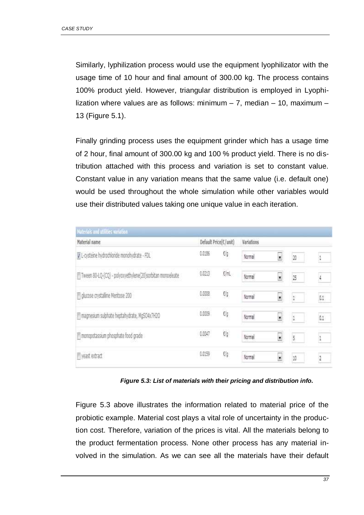Similarly, lyphilization process would use the equipment lyophilizator with the usage time of 10 hour and final amount of 300.00 kg. The process contains 100% product yield. However, triangular distribution is employed in Lyophilization where values are as follows: minimum – 7, median – 10, maximum – 13 (Figure 5.1).

Finally grinding process uses the equipment grinder which has a usage time of 2 hour, final amount of 300.00 kg and 100 % product yield. There is no distribution attached with this process and variation is set to constant value. Constant value in any variation means that the same value (i.e. default one) would be used throughout the whole simulation while other variables would use their distributed values taking one unique value in each iteration.

| Materials and utilities variation                         |        |                       |            |                          |               |                |  |
|-----------------------------------------------------------|--------|-----------------------|------------|--------------------------|---------------|----------------|--|
| Material name                                             |        | Default Price(C/unit) | Variations |                          |               |                |  |
| I L-cysteine hydrochloride monohydrate - FDL              | 0.0186 | $\epsilon/\rho$       | Normal     | ×                        | 20            |                |  |
| Tween 80-LQ-(CQ) - polyoxyethylene(20)sorbitan monoeleate | 0.0213 | €/mL                  | Normal     | ×                        | 25            | $\frac{1}{2}$  |  |
| Il glucose crystalline Mentose 200                        | 0.0008 | $\epsilon$ /g         | Normal     | $\ddot{ }$               | $1\,$         | $0.1\,$        |  |
| magnesium sulphate heptahydrate, MgSO4x7H2O               | 0.0009 | Elg                   | Normal     | ×                        | $\mathbbm{1}$ | 0.1            |  |
| monopotassium phosphate food grade                        | 0.0047 | ťģ                    | Normal     | $\cdot$                  | 5             | $\,$ 1         |  |
| yeast extract                                             | 0.0159 | C/g                   | Normal     | $\overline{\phantom{a}}$ | 10            | $\overline{2}$ |  |

*Figure 5.3: List of materials with their pricing and distribution info.*

<span id="page-36-0"></span>Figure 5.3 above illustrates the information related to material price of the probiotic example. Material cost plays a vital role of uncertainty in the production cost. Therefore, variation of the prices is vital. All the materials belong to the product fermentation process. None other process has any material involved in the simulation. As we can see all the materials have their default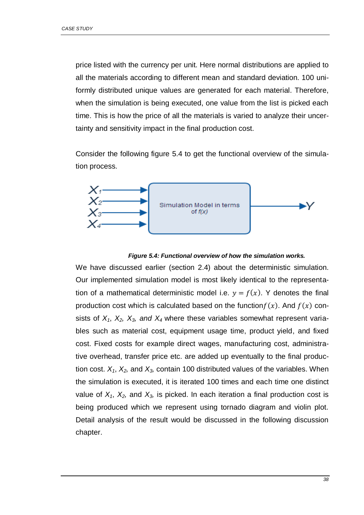price listed with the currency per unit. Here normal distributions are applied to all the materials according to different mean and standard deviation. 100 uniformly distributed unique values are generated for each material. Therefore, when the simulation is being executed, one value from the list is picked each time. This is how the price of all the materials is varied to analyze their uncertainty and sensitivity impact in the final production cost.

Consider the following figure 5.4 to get the functional overview of the simulation process.



#### *Figure 5.4: Functional overview of how the simulation works.*

<span id="page-37-0"></span>We have discussed earlier (section 2.4) about the deterministic simulation. Our implemented simulation model is most likely identical to the representation of a mathematical deterministic model i.e.  $y = f(x)$ . Y denotes the final production cost which is calculated based on the function  $f(x)$ . And  $f(x)$  consists of  $X_1$ ,  $X_2$ ,  $X_3$ , and  $X_4$  where these variables somewhat represent variables such as material cost, equipment usage time, product yield, and fixed cost. Fixed costs for example direct wages, manufacturing cost, administrative overhead, transfer price etc. are added up eventually to the final production cost. *X1*, *X2,* and *X3,* contain 100 distributed values of the variables. When the simulation is executed, it is iterated 100 times and each time one distinct value of  $X_1$ ,  $X_2$ , and  $X_3$ , is picked. In each iteration a final production cost is being produced which we represent using tornado diagram and violin plot. Detail analysis of the result would be discussed in the following discussion chapter.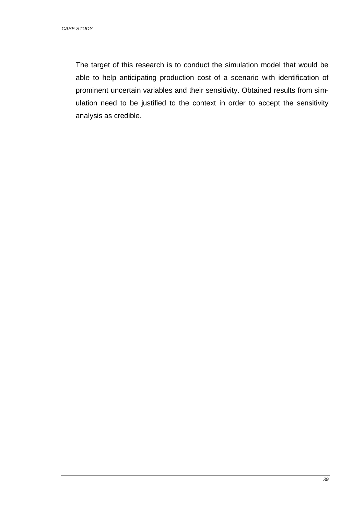The target of this research is to conduct the simulation model that would be able to help anticipating production cost of a scenario with identification of prominent uncertain variables and their sensitivity. Obtained results from simulation need to be justified to the context in order to accept the sensitivity analysis as credible.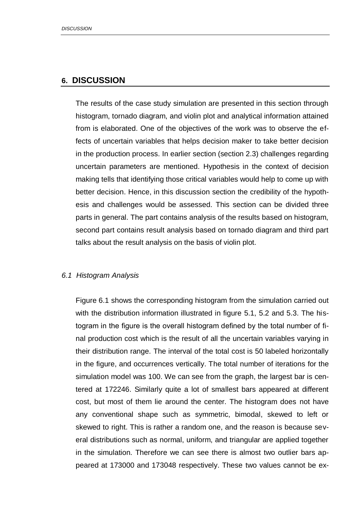### **6. DISCUSSION**

The results of the case study simulation are presented in this section through histogram, tornado diagram, and violin plot and analytical information attained from is elaborated. One of the objectives of the work was to observe the effects of uncertain variables that helps decision maker to take better decision in the production process. In earlier section (section 2.3) challenges regarding uncertain parameters are mentioned. Hypothesis in the context of decision making tells that identifying those critical variables would help to come up with better decision. Hence, in this discussion section the credibility of the hypothesis and challenges would be assessed. This section can be divided three parts in general. The part contains analysis of the results based on histogram, second part contains result analysis based on tornado diagram and third part talks about the result analysis on the basis of violin plot.

### *6.1 Histogram Analysis*

Figure 6.1 shows the corresponding histogram from the simulation carried out with the distribution information illustrated in figure 5.1, 5.2 and 5.3. The histogram in the figure is the overall histogram defined by the total number of final production cost which is the result of all the uncertain variables varying in their distribution range. The interval of the total cost is 50 labeled horizontally in the figure, and occurrences vertically. The total number of iterations for the simulation model was 100. We can see from the graph, the largest bar is centered at 172246. Similarly quite a lot of smallest bars appeared at different cost, but most of them lie around the center. The histogram does not have any conventional shape such as symmetric, bimodal, skewed to left or skewed to right. This is rather a random one, and the reason is because several distributions such as normal, uniform, and triangular are applied together in the simulation. Therefore we can see there is almost two outlier bars appeared at 173000 and 173048 respectively. These two values cannot be ex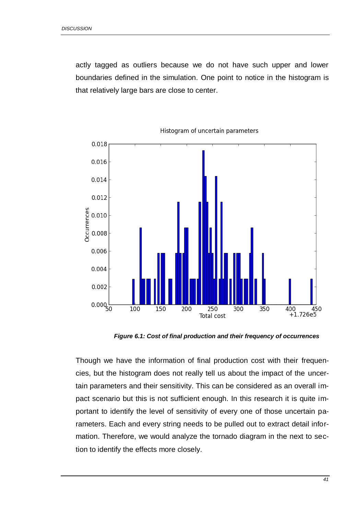actly tagged as outliers because we do not have such upper and lower boundaries defined in the simulation. One point to notice in the histogram is that relatively large bars are close to center.



Histogram of uncertain parameters

*Figure 6.1: Cost of final production and their frequency of occurrences*

<span id="page-40-0"></span>Though we have the information of final production cost with their frequencies, but the histogram does not really tell us about the impact of the uncertain parameters and their sensitivity. This can be considered as an overall impact scenario but this is not sufficient enough. In this research it is quite important to identify the level of sensitivity of every one of those uncertain parameters. Each and every string needs to be pulled out to extract detail information. Therefore, we would analyze the tornado diagram in the next to section to identify the effects more closely.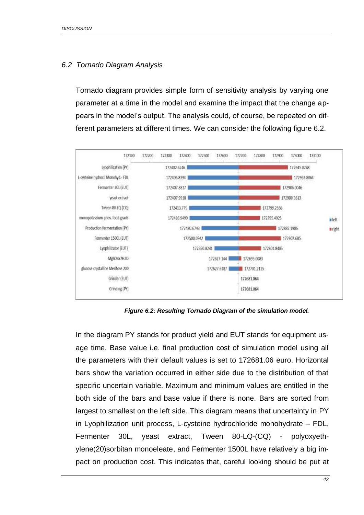### *6.2 Tornado Diagram Analysis*

Tornado diagram provides simple form of sensitivity analysis by varying one parameter at a time in the model and examine the impact that the change appears in the model's output. The analysis could, of course, be repeated on different parameters at different times. We can consider the following figure 6.2.



*Figure 6.2: Resulting Tornado Diagram of the simulation model.*

<span id="page-41-0"></span>In the diagram PY stands for product yield and EUT stands for equipment usage time. Base value i.e. final production cost of simulation model using all the parameters with their default values is set to 172681.06 euro. Horizontal bars show the variation occurred in either side due to the distribution of that specific uncertain variable. Maximum and minimum values are entitled in the both side of the bars and base value if there is none. Bars are sorted from largest to smallest on the left side. This diagram means that uncertainty in PY in Lyophilization unit process, L-cysteine hydrochloride monohydrate – FDL, Fermenter 30L, yeast extract, Tween 80-LQ-(CQ) - polyoxyethylene(20)sorbitan monoeleate, and Fermenter 1500L have relatively a big impact on production cost. This indicates that, careful looking should be put at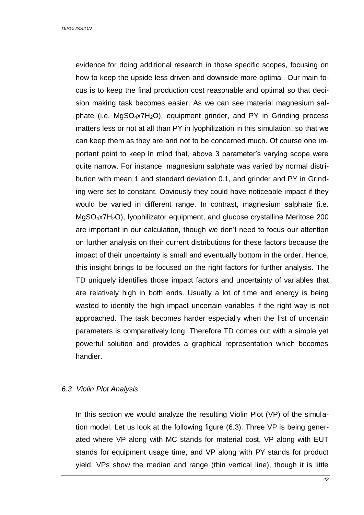evidence for doing additional research in those specific scopes, focusing on how to keep the upside less driven and downside more optimal. Our main focus is to keep the final production cost reasonable and optimal so that decision making task becomes easier. As we can see material magnesium salphate (i.e.  $MgSO_4x7H_2O$ ), equipment grinder, and PY in Grinding process matters less or not at all than PY in lyophilization in this simulation, so that we can keep them as they are and not to be concerned much. Of course one important point to keep in mind that, above 3 parameter's varying scope were quite narrow. For instance, magnesium salphate was varied by normal distribution with mean 1 and standard deviation 0.1, and grinder and PY in Grinding were set to constant. Obviously they could have noticeable impact if they would be varied in different range. In contrast, magnesium salphate (i.e. MgSO<sub>4</sub>x7H<sub>2</sub>O), lyophilizator equipment, and glucose crystalline Meritose 200 are important in our calculation, though we don't need to focus our attention on further analysis on their current distributions for these factors because the impact of their uncertainty is small and eventually bottom in the order. Hence, this insight brings to be focused on the right factors for further analysis. The TD uniquely identifies those impact factors and uncertainty of variables that are relatively high in both ends. Usually a lot of time and energy is being wasted to identify the high impact uncertain variables if the right way is not approached. The task becomes harder especially when the list of uncertain parameters is comparatively long. Therefore TD comes out with a simple yet powerful solution and provides a graphical representation which becomes handier.

### *6.3 Violin Plot Analysis*

In this section we would analyze the resulting Violin Plot (VP) of the simulation model. Let us look at the following figure (6.3). Three VP is being generated where VP along with MC stands for material cost, VP along with EUT stands for equipment usage time, and VP along with PY stands for product yield. VPs show the median and range (thin vertical line), though it is little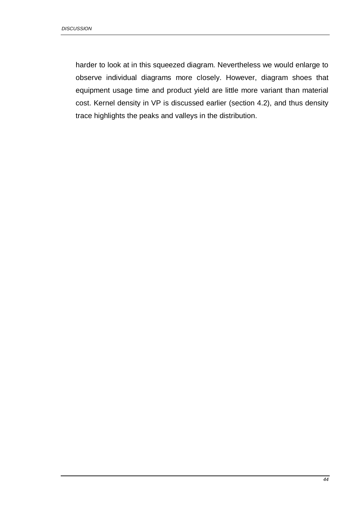harder to look at in this squeezed diagram. Nevertheless we would enlarge to observe individual diagrams more closely. However, diagram shoes that equipment usage time and product yield are little more variant than material cost. Kernel density in VP is discussed earlier (section 4.2), and thus density trace highlights the peaks and valleys in the distribution.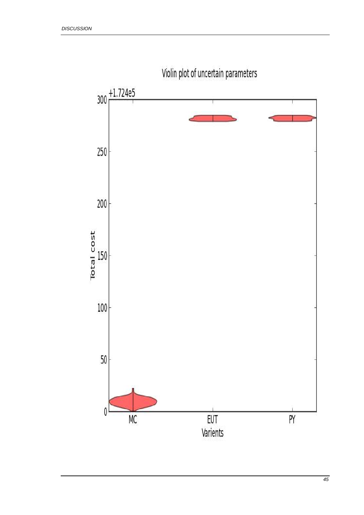

Violin plot of uncertain parameters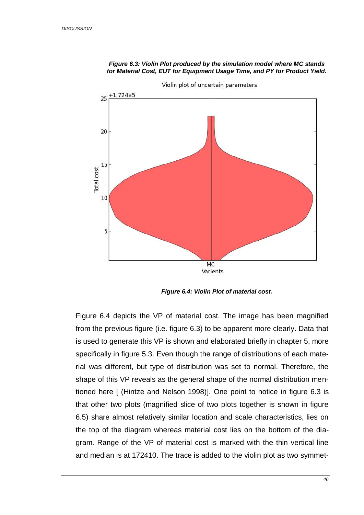<span id="page-45-0"></span>

#### *Figure 6.3: Violin Plot produced by the simulation model where MC stands for Material Cost, EUT for Equipment Usage Time, and PY for Product Yield.*

*Figure 6.4: Violin Plot of material cost.*

<span id="page-45-1"></span>Figure 6.4 depicts the VP of material cost. The image has been magnified from the previous figure (i.e. figure 6.3) to be apparent more clearly. Data that is used to generate this VP is shown and elaborated briefly in chapter 5, more specifically in figure 5.3. Even though the range of distributions of each material was different, but type of distribution was set to normal. Therefore, the shape of this VP reveals as the general shape of the normal distribution mentioned here [ (Hintze and Nelson 1998)]. One point to notice in figure 6.3 is that other two plots (magnified slice of two plots together is shown in figure 6.5) share almost relatively similar location and scale characteristics, lies on the top of the diagram whereas material cost lies on the bottom of the diagram. Range of the VP of material cost is marked with the thin vertical line and median is at 172410. The trace is added to the violin plot as two symmet-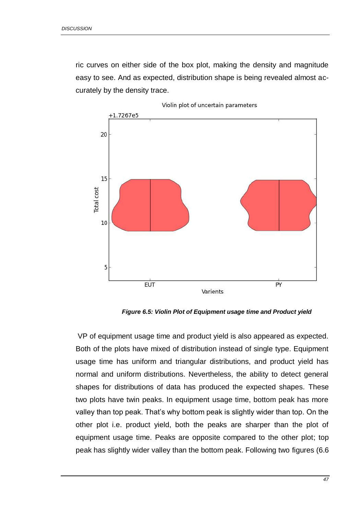ric curves on either side of the box plot, making the density and magnitude easy to see. And as expected, distribution shape is being revealed almost accurately by the density trace.



*Figure 6.5: Violin Plot of Equipment usage time and Product yield*

<span id="page-46-0"></span>VP of equipment usage time and product yield is also appeared as expected. Both of the plots have mixed of distribution instead of single type. Equipment usage time has uniform and triangular distributions, and product yield has normal and uniform distributions. Nevertheless, the ability to detect general shapes for distributions of data has produced the expected shapes. These two plots have twin peaks. In equipment usage time, bottom peak has more valley than top peak. That's why bottom peak is slightly wider than top. On the other plot i.e. product yield, both the peaks are sharper than the plot of equipment usage time. Peaks are opposite compared to the other plot; top peak has slightly wider valley than the bottom peak. Following two figures (6.6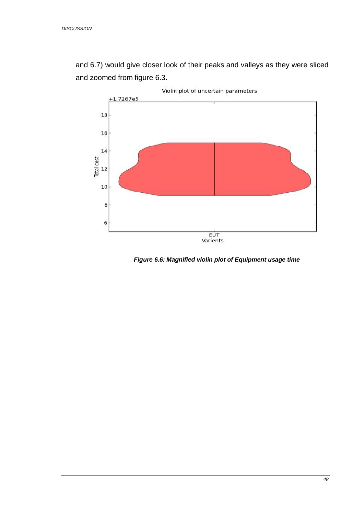and 6.7) would give closer look of their peaks and valleys as they were sliced and zoomed from figure 6.3.



<span id="page-47-0"></span>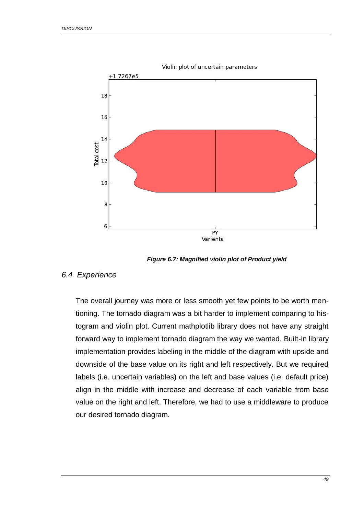

*Figure 6.7: Magnified violin plot of Product yield*

### <span id="page-48-0"></span>*6.4 Experience*

The overall journey was more or less smooth yet few points to be worth mentioning. The tornado diagram was a bit harder to implement comparing to histogram and violin plot. Current mathplotlib library does not have any straight forward way to implement tornado diagram the way we wanted. Built-in library implementation provides labeling in the middle of the diagram with upside and downside of the base value on its right and left respectively. But we required labels (i.e. uncertain variables) on the left and base values (i.e. default price) align in the middle with increase and decrease of each variable from base value on the right and left. Therefore, we had to use a middleware to produce our desired tornado diagram.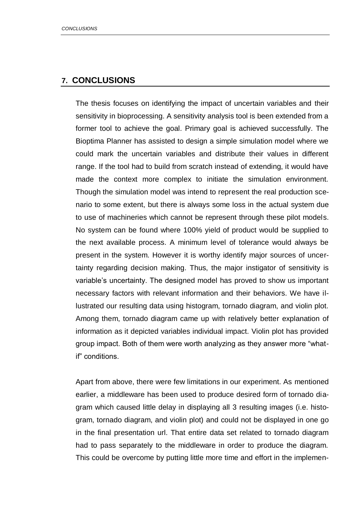## **7. CONCLUSIONS**

The thesis focuses on identifying the impact of uncertain variables and their sensitivity in bioprocessing. A sensitivity analysis tool is been extended from a former tool to achieve the goal. Primary goal is achieved successfully. The Bioptima Planner has assisted to design a simple simulation model where we could mark the uncertain variables and distribute their values in different range. If the tool had to build from scratch instead of extending, it would have made the context more complex to initiate the simulation environment. Though the simulation model was intend to represent the real production scenario to some extent, but there is always some loss in the actual system due to use of machineries which cannot be represent through these pilot models. No system can be found where 100% yield of product would be supplied to the next available process. A minimum level of tolerance would always be present in the system. However it is worthy identify major sources of uncertainty regarding decision making. Thus, the major instigator of sensitivity is variable's uncertainty. The designed model has proved to show us important necessary factors with relevant information and their behaviors. We have illustrated our resulting data using histogram, tornado diagram, and violin plot. Among them, tornado diagram came up with relatively better explanation of information as it depicted variables individual impact. Violin plot has provided group impact. Both of them were worth analyzing as they answer more "whatif" conditions.

Apart from above, there were few limitations in our experiment. As mentioned earlier, a middleware has been used to produce desired form of tornado diagram which caused little delay in displaying all 3 resulting images (i.e. histogram, tornado diagram, and violin plot) and could not be displayed in one go in the final presentation url. That entire data set related to tornado diagram had to pass separately to the middleware in order to produce the diagram. This could be overcome by putting little more time and effort in the implemen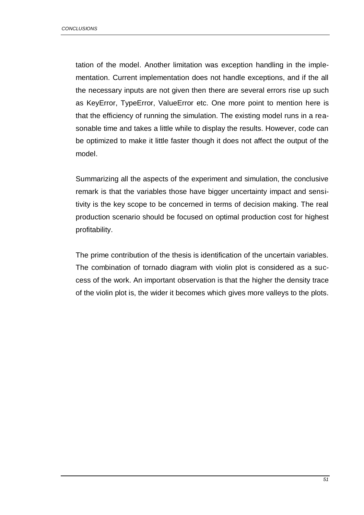tation of the model. Another limitation was exception handling in the implementation. Current implementation does not handle exceptions, and if the all the necessary inputs are not given then there are several errors rise up such as KeyError, TypeError, ValueError etc. One more point to mention here is that the efficiency of running the simulation. The existing model runs in a reasonable time and takes a little while to display the results. However, code can be optimized to make it little faster though it does not affect the output of the model.

Summarizing all the aspects of the experiment and simulation, the conclusive remark is that the variables those have bigger uncertainty impact and sensitivity is the key scope to be concerned in terms of decision making. The real production scenario should be focused on optimal production cost for highest profitability.

The prime contribution of the thesis is identification of the uncertain variables. The combination of tornado diagram with violin plot is considered as a success of the work. An important observation is that the higher the density trace of the violin plot is, the wider it becomes which gives more valleys to the plots.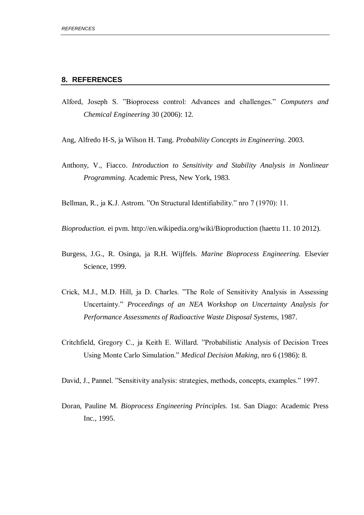#### **8. REFERENCES**

- Alford, Joseph S. "Bioprocess control: Advances and challenges." *Computers and Chemical Engineering* 30 (2006): 12.
- Ang, Alfredo H-S, ja Wilson H. Tang. *Probability Concepts in Engineering.* 2003.
- Anthony, V., Fiacco. *Introduction to Sensitivity and Stability Analysis in Nonlinear Programming.* Academic Press, New York, 1983.

Bellman, R., ja K.J. Astrom. "On Structural Identifiability." nro 7 (1970): 11.

*Bioproduction.* ei pvm. http://en.wikipedia.org/wiki/Bioproduction (haettu 11. 10 2012).

- Burgess, J.G., R. Osinga, ja R.H. Wijffels. *Marine Bioprocess Engineering.* Elsevier Science, 1999.
- Crick, M.J., M.D. Hill, ja D. Charles. "The Role of Sensitivity Analysis in Assessing Uncertainty." *Proceedings of an NEA Workshop on Uncertainty Analysis for Performance Assessments of Radioactive Waste Disposal Systems*, 1987.
- Critchfield, Gregory C., ja Keith E. Willard. "Probabilistic Analysis of Decision Trees Using Monte Carlo Simulation." *Medical Decision Making*, nro 6 (1986): 8.

David, J., Pannel. "Sensitivity analysis: strategies, methods, concepts, examples." 1997.

Doran, Pauline M. *Bioprocess Engineering Principles.* 1st. San Diago: Academic Press Inc., 1995.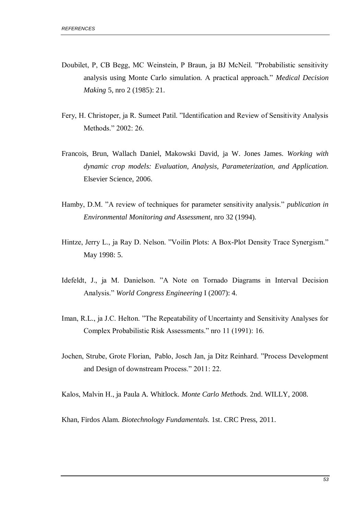- Doubilet, P, CB Begg, MC Weinstein, P Braun, ja BJ McNeil. "Probabilistic sensitivity analysis using Monte Carlo simulation. A practical approach." *Medical Decision Making* 5, nro 2 (1985): 21.
- Fery, H. Christoper, ja R. Sumeet Patil. "Identification and Review of Sensitivity Analysis Methods." 2002: 26.
- Francois, Brun, Wallach Daniel, Makowski David, ja W. Jones James. *Working with dynamic crop models: Evaluation, Analysis, Parameterization, and Application.* Elsevier Science, 2006.
- Hamby, D.M. "A review of techniques for parameter sensitivity analysis." *publication in Environmental Monitoring and Assessment*, nro 32 (1994).
- Hintze, Jerry L., ja Ray D. Nelson. "Voilin Plots: A Box-Plot Density Trace Synergism." May 1998: 5.
- Idefeldt, J., ja M. Danielson. "A Note on Tornado Diagrams in Interval Decision Analysis." *World Congress Engineering* I (2007): 4.
- Iman, R.L., ja J.C. Helton. "The Repeatability of Uncertainty and Sensitivity Analyses for Complex Probabilistic Risk Assessments." nro 11 (1991): 16.
- Jochen, Strube, Grote Florian,  Pablo, Josch Jan, ja Ditz Reinhard. "Process Development and Design of downstream Process." 2011: 22.

Kalos, Malvin H., ja Paula A. Whitlock. *Monte Carlo Methods.* 2nd. WILLY, 2008.

Khan, Firdos Alam. *Biotechnology Fundamentals.* 1st. CRC Press, 2011.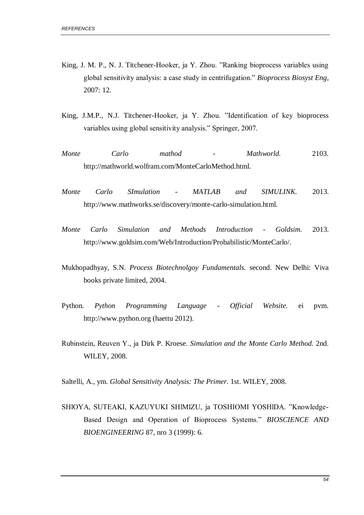- King, J. M. P., N. J. Titchener-Hooker, ja Y. Zhou. "Ranking bioprocess variables using global sensitivity analysis: a case study in centrifugation." *Bioprocess Biosyst Eng*, 2007: 12.
- King, J.M.P., N.J. Titchener-Hooker, ja Y. Zhou. "Identification of key bioprocess variables using global sensitivity analysis." Springer, 2007.
- *Monte Carlo mathod - Mathworld.* 2103. http://mathworld.wolfram.com/MonteCarloMethod.html.
- *Monte Carlo SImulation - MATLAB and SIMULINK.* 2013. http://www.mathworks.se/discovery/monte-carlo-simulation.html.
- *Monte Carlo Simulation and Methods Introduction - Goldsim.* 2013. http://www.goldsim.com/Web/Introduction/Probabilistic/MonteCarlo/.
- Mukhopadhyay, S.N. *Process Biotechnolgoy Fundamentals.* second. New Delhi: Viva books private limited, 2004.
- Python. *Python Programming Language - Official Website.* ei pvm. http://www.python.org (haettu 2012).
- Rubinstein, Reuven Y., ja Dirk P. Kroese. *Simulation and the Monte Carlo Method.* 2nd. WILEY, 2008.
- Saltelli, A., ym. *Global Sensitivity Analysis: The Primer.* 1st. WILEY, 2008.
- SHlOYA, SUTEAKI, KAZUYUKI SHlMlZU, ja TOSHIOMI YOSHlDA. "Knowledge-Based Design and Operation of Bioprocess Systems." *BIOSCIENCE AND BIOENGINEERING* 87, nro 3 (1999): 6.